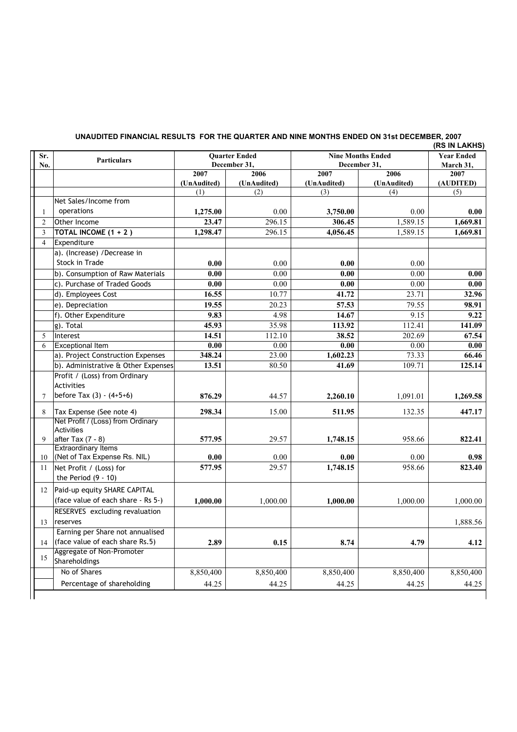| Sr.            | Particulars                                            | <b>Quarter Ended</b><br>December 31, |                     | <b>Nine Months Ended</b><br>December 31, |                    | <b>Year Ended</b><br>March 31, |
|----------------|--------------------------------------------------------|--------------------------------------|---------------------|------------------------------------------|--------------------|--------------------------------|
| No.            |                                                        |                                      |                     |                                          |                    |                                |
|                |                                                        | 2007                                 | 2006                | 2007                                     | 2006               | 2007                           |
|                |                                                        | (UnAudited)<br>(1)                   | (UnAudited)<br>(2)  | (UnAudited)<br>(3)                       | (UnAudited)<br>(4) | (AUDITED)<br>(5)               |
|                | Net Sales/Income from                                  |                                      |                     |                                          |                    |                                |
|                | operations                                             |                                      | 0.00                |                                          | 0.00               | 0.00                           |
| 1              |                                                        | 1,275.00                             |                     | 3,750.00                                 |                    |                                |
| $\overline{2}$ | Other Income                                           | 23.47                                | $\overline{296.15}$ | 306.45                                   | 1,589.15           | 1,669.81                       |
| 3              | TOTAL INCOME $(1 + 2)$                                 | 1,298.47                             | 296.15              | 4,056.45                                 | 1,589.15           | 1,669.81                       |
| $\overline{4}$ | Expenditure                                            |                                      |                     |                                          |                    |                                |
|                | a). (Increase) /Decrease in                            |                                      |                     |                                          |                    |                                |
|                | Stock in Trade                                         | 0.00                                 | 0.00                | 0.00                                     | 0.00               |                                |
|                | b). Consumption of Raw Materials                       | 0.00                                 | 0.00                | 0.00                                     | 0.00               | 0.00                           |
|                | c). Purchase of Traded Goods                           | 0.00                                 | 0.00                | 0.00                                     | 0.00               | 0.00                           |
|                | d). Employees Cost                                     | 16.55                                | 10.77               | 41.72                                    | 23.71              | 32.96                          |
|                | e). Depreciation                                       | 19.55                                | 20.23               | 57.53                                    | 79.55              | 98.91                          |
|                | f). Other Expenditure                                  | 9.83                                 | 4.98                | 14.67                                    | 9.15               | 9.22                           |
|                | g). Total                                              | 45.93                                | 35.98               | 113.92                                   | 112.41             | 141.09                         |
| 5              | Interest                                               | 14.51                                | 112.10              | 38.52                                    | 202.69             | 67.54                          |
| 6              | <b>Exceptional Item</b>                                | 0.00                                 | 0.00                | 0.00                                     | 0.00               | 0.00                           |
|                | a). Project Construction Expenses                      | 348.24                               | 23.00               | 1,602.23                                 | 73.33              | 66.46                          |
|                | b). Administrative & Other Expenses                    | 13.51                                | 80.50               | 41.69                                    | 109.71             | 125.14                         |
|                | Profit / (Loss) from Ordinary<br><b>Activities</b>     |                                      |                     |                                          |                    |                                |
| 7              | before Tax (3) - (4+5+6)                               | 876.29                               | 44.57               | 2,260.10                                 | 1,091.01           | 1,269.58                       |
| 8              | Tax Expense (See note 4)                               | 298.34                               | 15.00               | 511.95                                   | 132.35             | 447.17                         |
|                | Net Profit / (Loss) from Ordinary<br><b>Activities</b> |                                      |                     |                                          |                    |                                |
| 9              | after Tax $(7 - 8)$                                    | 577.95                               | 29.57               | 1,748.15                                 | 958.66             | 822.41                         |
|                | <b>Extraordinary Items</b>                             |                                      |                     |                                          |                    |                                |
| 10             | (Net of Tax Expense Rs. NIL)                           | 0.00                                 | 0.00                | 0.00                                     | 0.00               | 0.98                           |
| 11             | Net Profit / (Loss) for<br>the Period $(9 - 10)$       | 577.95                               | 29.57               | 1,748.15                                 | 958.66             | 823.40                         |
| 12             | Paid-up equity SHARE CAPITAL                           |                                      |                     |                                          |                    |                                |
|                | (face value of each share - Rs 5-)                     | 1,000.00                             | 1,000.00            | 1,000.00                                 | 1,000.00           | 1,000.00                       |
|                | RESERVES excluding revaluation                         |                                      |                     |                                          |                    |                                |
| 13             | reserves                                               |                                      |                     |                                          |                    | 1,888.56                       |
|                | Earning per Share not annualised                       |                                      |                     |                                          |                    |                                |
| 14             | (face value of each share Rs.5)                        | 2.89                                 | 0.15                | 8.74                                     | 4.79               | 4.12                           |
| 15             | Aggregate of Non-Promoter<br>Shareholdings             |                                      |                     |                                          |                    |                                |
|                | No of Shares                                           | 8,850,400                            | 8,850,400           | 8,850,400                                | 8,850,400          | 8,850,400                      |
|                | Percentage of shareholding                             | 44.25                                | 44.25               | 44.25                                    | 44.25              | 44.25                          |

## **UNAUDITED FINANCIAL RESULTS FOR THE QUARTER AND NINE MONTHS ENDED ON 31st DECEMBER, 2007**